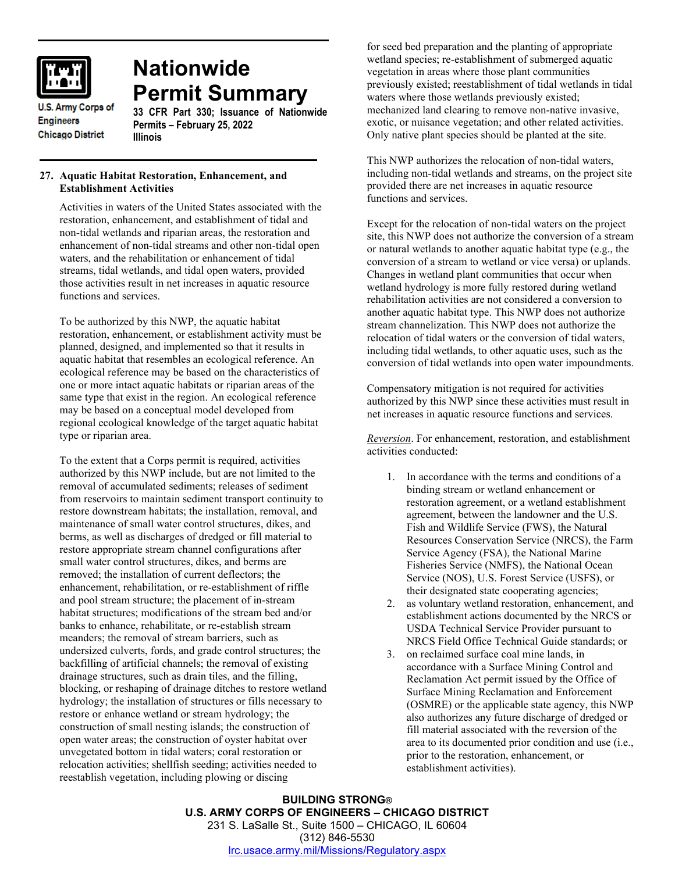

**Nationwide Permit Summary**

**U.S. Army Corps of Engineers Chicago District** 

**33 CFR Part 330; Issuance of Nationwide Permits – February 25, 2022 Illinois**

# **27. Aquatic Habitat Restoration, Enhancement, and Establishment Activities**

Activities in waters of the United States associated with the restoration, enhancement, and establishment of tidal and non-tidal wetlands and riparian areas, the restoration and enhancement of non-tidal streams and other non-tidal open waters, and the rehabilitation or enhancement of tidal streams, tidal wetlands, and tidal open waters, provided those activities result in net increases in aquatic resource functions and services.

To be authorized by this NWP, the aquatic habitat restoration, enhancement, or establishment activity must be planned, designed, and implemented so that it results in aquatic habitat that resembles an ecological reference. An ecological reference may be based on the characteristics of one or more intact aquatic habitats or riparian areas of the same type that exist in the region. An ecological reference may be based on a conceptual model developed from regional ecological knowledge of the target aquatic habitat type or riparian area.

To the extent that a Corps permit is required, activities authorized by this NWP include, but are not limited to the removal of accumulated sediments; releases of sediment from reservoirs to maintain sediment transport continuity to restore downstream habitats; the installation, removal, and maintenance of small water control structures, dikes, and berms, as well as discharges of dredged or fill material to restore appropriate stream channel configurations after small water control structures, dikes, and berms are removed; the installation of current deflectors; the enhancement, rehabilitation, or re-establishment of riffle and pool stream structure; the placement of in-stream habitat structures; modifications of the stream bed and/or banks to enhance, rehabilitate, or re-establish stream meanders; the removal of stream barriers, such as undersized culverts, fords, and grade control structures; the backfilling of artificial channels; the removal of existing drainage structures, such as drain tiles, and the filling, blocking, or reshaping of drainage ditches to restore wetland hydrology; the installation of structures or fills necessary to restore or enhance wetland or stream hydrology; the construction of small nesting islands; the construction of open water areas; the construction of oyster habitat over unvegetated bottom in tidal waters; coral restoration or relocation activities; shellfish seeding; activities needed to reestablish vegetation, including plowing or discing

for seed bed preparation and the planting of appropriate wetland species; re-establishment of submerged aquatic vegetation in areas where those plant communities previously existed; reestablishment of tidal wetlands in tidal waters where those wetlands previously existed; mechanized land clearing to remove non-native invasive, exotic, or nuisance vegetation; and other related activities. Only native plant species should be planted at the site.

This NWP authorizes the relocation of non-tidal waters, including non-tidal wetlands and streams, on the project site provided there are net increases in aquatic resource functions and services.

Except for the relocation of non-tidal waters on the project site, this NWP does not authorize the conversion of a stream or natural wetlands to another aquatic habitat type (e.g., the conversion of a stream to wetland or vice versa) or uplands. Changes in wetland plant communities that occur when wetland hydrology is more fully restored during wetland rehabilitation activities are not considered a conversion to another aquatic habitat type. This NWP does not authorize stream channelization. This NWP does not authorize the relocation of tidal waters or the conversion of tidal waters, including tidal wetlands, to other aquatic uses, such as the conversion of tidal wetlands into open water impoundments.

Compensatory mitigation is not required for activities authorized by this NWP since these activities must result in net increases in aquatic resource functions and services.

*Reversion*. For enhancement, restoration, and establishment activities conducted:

- 1. In accordance with the terms and conditions of a binding stream or wetland enhancement or restoration agreement, or a wetland establishment agreement, between the landowner and the U.S. Fish and Wildlife Service (FWS), the Natural Resources Conservation Service (NRCS), the Farm Service Agency (FSA), the National Marine Fisheries Service (NMFS), the National Ocean Service (NOS), U.S. Forest Service (USFS), or their designated state cooperating agencies;
- 2. as voluntary wetland restoration, enhancement, and establishment actions documented by the NRCS or USDA Technical Service Provider pursuant to NRCS Field Office Technical Guide standards; or
- 3. on reclaimed surface coal mine lands, in accordance with a Surface Mining Control and Reclamation Act permit issued by the Office of Surface Mining Reclamation and Enforcement (OSMRE) or the applicable state agency, this NWP also authorizes any future discharge of dredged or fill material associated with the reversion of the area to its documented prior condition and use (i.e., prior to the restoration, enhancement, or establishment activities).

**BUILDING STRONG® U.S. ARMY CORPS OF ENGINEERS – CHICAGO DISTRICT** 231 S. LaSalle St., Suite 1500 – CHICAGO, IL 60604 (312) 846-5530 [lrc.usace.army.mil/Missions/Regulatory.aspx](https://www.lrc.usace.army.mil/Missions/Regulatory.aspx)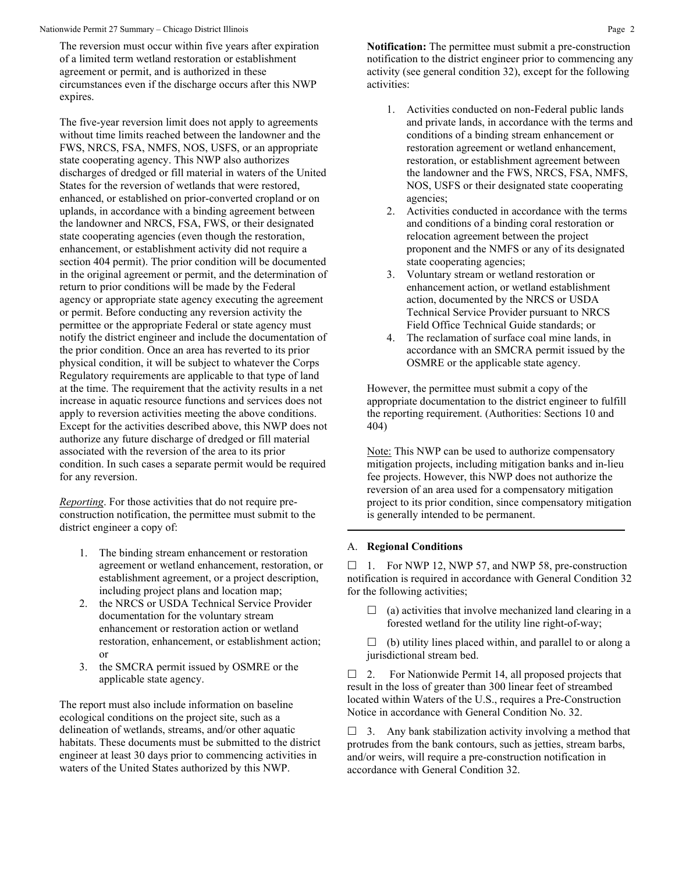The reversion must occur within five years after expiration of a limited term wetland restoration or establishment agreement or permit, and is authorized in these circumstances even if the discharge occurs after this NWP expires.

The five-year reversion limit does not apply to agreements without time limits reached between the landowner and the FWS, NRCS, FSA, NMFS, NOS, USFS, or an appropriate state cooperating agency. This NWP also authorizes discharges of dredged or fill material in waters of the United States for the reversion of wetlands that were restored, enhanced, or established on prior-converted cropland or on uplands, in accordance with a binding agreement between the landowner and NRCS, FSA, FWS, or their designated state cooperating agencies (even though the restoration, enhancement, or establishment activity did not require a section 404 permit). The prior condition will be documented in the original agreement or permit, and the determination of return to prior conditions will be made by the Federal agency or appropriate state agency executing the agreement or permit. Before conducting any reversion activity the permittee or the appropriate Federal or state agency must notify the district engineer and include the documentation of the prior condition. Once an area has reverted to its prior physical condition, it will be subject to whatever the Corps Regulatory requirements are applicable to that type of land at the time. The requirement that the activity results in a net increase in aquatic resource functions and services does not apply to reversion activities meeting the above conditions. Except for the activities described above, this NWP does not authorize any future discharge of dredged or fill material associated with the reversion of the area to its prior condition. In such cases a separate permit would be required for any reversion.

*Reporting*. For those activities that do not require preconstruction notification, the permittee must submit to the district engineer a copy of:

- 1. The binding stream enhancement or restoration agreement or wetland enhancement, restoration, or establishment agreement, or a project description, including project plans and location map;
- 2. the NRCS or USDA Technical Service Provider documentation for the voluntary stream enhancement or restoration action or wetland restoration, enhancement, or establishment action; or
- 3. the SMCRA permit issued by OSMRE or the applicable state agency.

The report must also include information on baseline ecological conditions on the project site, such as a delineation of wetlands, streams, and/or other aquatic habitats. These documents must be submitted to the district engineer at least 30 days prior to commencing activities in waters of the United States authorized by this NWP.

**Notification:** The permittee must submit a pre-construction notification to the district engineer prior to commencing any activity (see general condition 32), except for the following activities:

- 1. Activities conducted on non-Federal public lands and private lands, in accordance with the terms and conditions of a binding stream enhancement or restoration agreement or wetland enhancement, restoration, or establishment agreement between the landowner and the FWS, NRCS, FSA, NMFS, NOS, USFS or their designated state cooperating agencies;
- 2. Activities conducted in accordance with the terms and conditions of a binding coral restoration or relocation agreement between the project proponent and the NMFS or any of its designated state cooperating agencies;
- 3. Voluntary stream or wetland restoration or enhancement action, or wetland establishment action, documented by the NRCS or USDA Technical Service Provider pursuant to NRCS Field Office Technical Guide standards; or
- 4. The reclamation of surface coal mine lands, in accordance with an SMCRA permit issued by the OSMRE or the applicable state agency.

However, the permittee must submit a copy of the appropriate documentation to the district engineer to fulfill the reporting requirement. (Authorities: Sections 10 and 404)

Note: This NWP can be used to authorize compensatory mitigation projects, including mitigation banks and in-lieu fee projects. However, this NWP does not authorize the reversion of an area used for a compensatory mitigation project to its prior condition, since compensatory mitigation is generally intended to be permanent.

### A. **Regional Conditions**

 $\Box$  1. For NWP 12, NWP 57, and NWP 58, pre-construction notification is required in accordance with General Condition 32 for the following activities;

 $\Box$  (a) activities that involve mechanized land clearing in a forested wetland for the utility line right-of-way;

 $\Box$  (b) utility lines placed within, and parallel to or along a jurisdictional stream bed.

 $\Box$  2. For Nationwide Permit 14, all proposed projects that result in the loss of greater than 300 linear feet of streambed located within Waters of the U.S., requires a Pre-Construction Notice in accordance with General Condition No. 32.

 $\Box$  3. Any bank stabilization activity involving a method that protrudes from the bank contours, such as jetties, stream barbs, and/or weirs, will require a pre-construction notification in accordance with General Condition 32.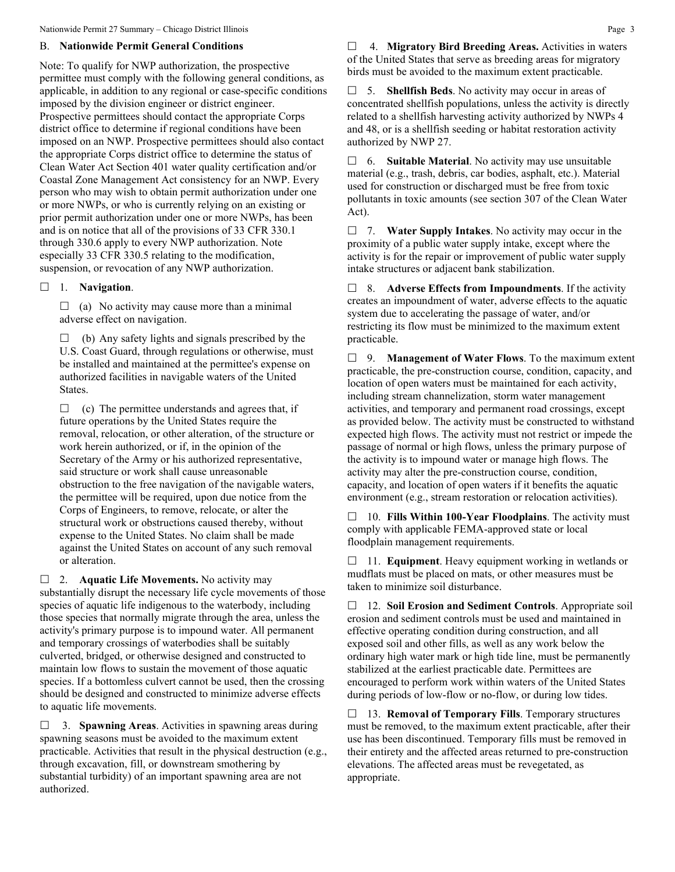## B. **Nationwide Permit General Conditions**

Note: To qualify for NWP authorization, the prospective permittee must comply with the following general conditions, as applicable, in addition to any regional or case-specific conditions imposed by the division engineer or district engineer. Prospective permittees should contact the appropriate Corps district office to determine if regional conditions have been imposed on an NWP. Prospective permittees should also contact the appropriate Corps district office to determine the status of Clean Water Act Section 401 water quality certification and/or Coastal Zone Management Act consistency for an NWP. Every person who may wish to obtain permit authorization under one or more NWPs, or who is currently relying on an existing or prior permit authorization under one or more NWPs, has been and is on notice that all of the provisions of 33 CFR 330.1 through 330.6 apply to every NWP authorization. Note especially 33 CFR 330.5 relating to the modification, suspension, or revocation of any NWP authorization.

## 1. **Navigation**.

 $\Box$  (a) No activity may cause more than a minimal adverse effect on navigation.

 $\Box$  (b) Any safety lights and signals prescribed by the U.S. Coast Guard, through regulations or otherwise, must be installed and maintained at the permittee's expense on authorized facilities in navigable waters of the United States.

 $\Box$  (c) The permittee understands and agrees that, if future operations by the United States require the removal, relocation, or other alteration, of the structure or work herein authorized, or if, in the opinion of the Secretary of the Army or his authorized representative, said structure or work shall cause unreasonable obstruction to the free navigation of the navigable waters, the permittee will be required, upon due notice from the Corps of Engineers, to remove, relocate, or alter the structural work or obstructions caused thereby, without expense to the United States. No claim shall be made against the United States on account of any such removal or alteration.

□ 2. **Aquatic Life Movements.** No activity may substantially disrupt the necessary life cycle movements of those species of aquatic life indigenous to the waterbody, including those species that normally migrate through the area, unless the activity's primary purpose is to impound water. All permanent and temporary crossings of waterbodies shall be suitably culverted, bridged, or otherwise designed and constructed to maintain low flows to sustain the movement of those aquatic species. If a bottomless culvert cannot be used, then the crossing should be designed and constructed to minimize adverse effects to aquatic life movements.

 3. **Spawning Areas**. Activities in spawning areas during spawning seasons must be avoided to the maximum extent practicable. Activities that result in the physical destruction (e.g., through excavation, fill, or downstream smothering by substantial turbidity) of an important spawning area are not authorized.

 4. **Migratory Bird Breeding Areas.** Activities in waters of the United States that serve as breeding areas for migratory birds must be avoided to the maximum extent practicable.

 5. **Shellfish Beds**. No activity may occur in areas of concentrated shellfish populations, unless the activity is directly related to a shellfish harvesting activity authorized by NWPs 4 and 48, or is a shellfish seeding or habitat restoration activity authorized by NWP 27.

 6. **Suitable Material**. No activity may use unsuitable material (e.g., trash, debris, car bodies, asphalt, etc.). Material used for construction or discharged must be free from toxic pollutants in toxic amounts (see section 307 of the Clean Water Act).

 7. **Water Supply Intakes**. No activity may occur in the proximity of a public water supply intake, except where the activity is for the repair or improvement of public water supply intake structures or adjacent bank stabilization.

 8. **Adverse Effects from Impoundments**. If the activity creates an impoundment of water, adverse effects to the aquatic system due to accelerating the passage of water, and/or restricting its flow must be minimized to the maximum extent practicable.

 9. **Management of Water Flows**. To the maximum extent practicable, the pre-construction course, condition, capacity, and location of open waters must be maintained for each activity, including stream channelization, storm water management activities, and temporary and permanent road crossings, except as provided below. The activity must be constructed to withstand expected high flows. The activity must not restrict or impede the passage of normal or high flows, unless the primary purpose of the activity is to impound water or manage high flows. The activity may alter the pre-construction course, condition, capacity, and location of open waters if it benefits the aquatic environment (e.g., stream restoration or relocation activities).

 10. **Fills Within 100-Year Floodplains**. The activity must comply with applicable FEMA-approved state or local floodplain management requirements.

 11. **Equipment**. Heavy equipment working in wetlands or mudflats must be placed on mats, or other measures must be taken to minimize soil disturbance.

 12. **Soil Erosion and Sediment Controls**. Appropriate soil erosion and sediment controls must be used and maintained in effective operating condition during construction, and all exposed soil and other fills, as well as any work below the ordinary high water mark or high tide line, must be permanently stabilized at the earliest practicable date. Permittees are encouraged to perform work within waters of the United States during periods of low-flow or no-flow, or during low tides.

 13. **Removal of Temporary Fills**. Temporary structures must be removed, to the maximum extent practicable, after their use has been discontinued. Temporary fills must be removed in their entirety and the affected areas returned to pre-construction elevations. The affected areas must be revegetated, as appropriate.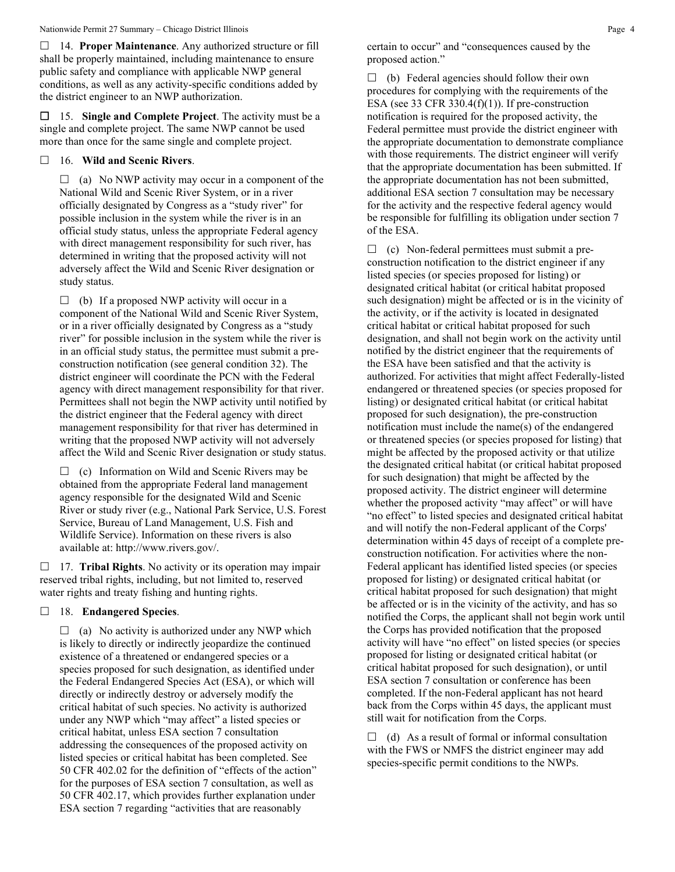#### Nationwide Permit 27 Summary – Chicago District Illinois **Page 4** Alexander Page 4

 14. **Proper Maintenance**. Any authorized structure or fill shall be properly maintained, including maintenance to ensure public safety and compliance with applicable NWP general conditions, as well as any activity-specific conditions added by the district engineer to an NWP authorization.

 15. **Single and Complete Project**. The activity must be a single and complete project. The same NWP cannot be used more than once for the same single and complete project.

## 16. **Wild and Scenic Rivers**.

 $\Box$  (a) No NWP activity may occur in a component of the National Wild and Scenic River System, or in a river officially designated by Congress as a "study river" for possible inclusion in the system while the river is in an official study status, unless the appropriate Federal agency with direct management responsibility for such river, has determined in writing that the proposed activity will not adversely affect the Wild and Scenic River designation or study status.

 $\Box$  (b) If a proposed NWP activity will occur in a component of the National Wild and Scenic River System, or in a river officially designated by Congress as a "study river" for possible inclusion in the system while the river is in an official study status, the permittee must submit a preconstruction notification (see general condition 32). The district engineer will coordinate the PCN with the Federal agency with direct management responsibility for that river. Permittees shall not begin the NWP activity until notified by the district engineer that the Federal agency with direct management responsibility for that river has determined in writing that the proposed NWP activity will not adversely affect the Wild and Scenic River designation or study status.

 $\Box$  (c) Information on Wild and Scenic Rivers may be obtained from the appropriate Federal land management agency responsible for the designated Wild and Scenic River or study river (e.g., National Park Service, U.S. Forest Service, Bureau of Land Management, U.S. Fish and Wildlife Service). Information on these rivers is also available at: http://www.rivers.gov/.

 17. **Tribal Rights**. No activity or its operation may impair reserved tribal rights, including, but not limited to, reserved water rights and treaty fishing and hunting rights.

## 18. **Endangered Species**.

 $\Box$  (a) No activity is authorized under any NWP which is likely to directly or indirectly jeopardize the continued existence of a threatened or endangered species or a species proposed for such designation, as identified under the Federal Endangered Species Act (ESA), or which will directly or indirectly destroy or adversely modify the critical habitat of such species. No activity is authorized under any NWP which "may affect" a listed species or critical habitat, unless ESA section 7 consultation addressing the consequences of the proposed activity on listed species or critical habitat has been completed. See 50 CFR 402.02 for the definition of "effects of the action" for the purposes of ESA section 7 consultation, as well as 50 CFR 402.17, which provides further explanation under ESA section 7 regarding "activities that are reasonably

certain to occur" and "consequences caused by the proposed action."

 $\Box$  (b) Federal agencies should follow their own procedures for complying with the requirements of the ESA (see 33 CFR 330.4 $(f)(1)$ ). If pre-construction notification is required for the proposed activity, the Federal permittee must provide the district engineer with the appropriate documentation to demonstrate compliance with those requirements. The district engineer will verify that the appropriate documentation has been submitted. If the appropriate documentation has not been submitted, additional ESA section 7 consultation may be necessary for the activity and the respective federal agency would be responsible for fulfilling its obligation under section 7 of the ESA.

 $\Box$  (c) Non-federal permittees must submit a preconstruction notification to the district engineer if any listed species (or species proposed for listing) or designated critical habitat (or critical habitat proposed such designation) might be affected or is in the vicinity of the activity, or if the activity is located in designated critical habitat or critical habitat proposed for such designation, and shall not begin work on the activity until notified by the district engineer that the requirements of the ESA have been satisfied and that the activity is authorized. For activities that might affect Federally-listed endangered or threatened species (or species proposed for listing) or designated critical habitat (or critical habitat proposed for such designation), the pre-construction notification must include the name(s) of the endangered or threatened species (or species proposed for listing) that might be affected by the proposed activity or that utilize the designated critical habitat (or critical habitat proposed for such designation) that might be affected by the proposed activity. The district engineer will determine whether the proposed activity "may affect" or will have "no effect" to listed species and designated critical habitat and will notify the non-Federal applicant of the Corps' determination within 45 days of receipt of a complete preconstruction notification. For activities where the non-Federal applicant has identified listed species (or species proposed for listing) or designated critical habitat (or critical habitat proposed for such designation) that might be affected or is in the vicinity of the activity, and has so notified the Corps, the applicant shall not begin work until the Corps has provided notification that the proposed activity will have "no effect" on listed species (or species proposed for listing or designated critical habitat (or critical habitat proposed for such designation), or until ESA section 7 consultation or conference has been completed. If the non-Federal applicant has not heard back from the Corps within 45 days, the applicant must still wait for notification from the Corps.

 $\Box$  (d) As a result of formal or informal consultation with the FWS or NMFS the district engineer may add species-specific permit conditions to the NWPs.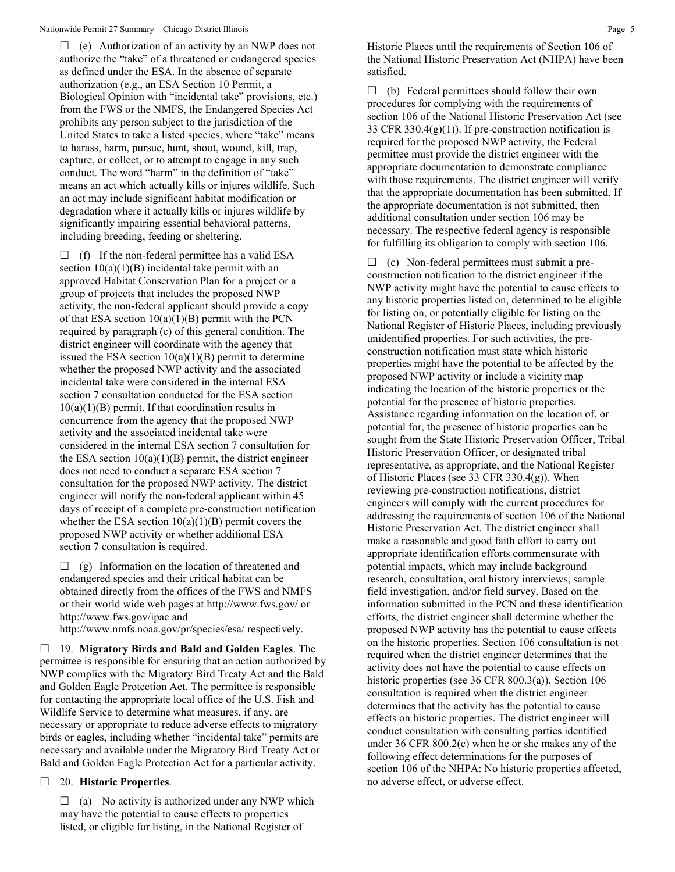$\Box$  (e) Authorization of an activity by an NWP does not authorize the "take" of a threatened or endangered species as defined under the ESA. In the absence of separate authorization (e.g., an ESA Section 10 Permit, a Biological Opinion with "incidental take" provisions, etc.) from the FWS or the NMFS, the Endangered Species Act prohibits any person subject to the jurisdiction of the United States to take a listed species, where "take" means to harass, harm, pursue, hunt, shoot, wound, kill, trap, capture, or collect, or to attempt to engage in any such conduct. The word "harm" in the definition of "take" means an act which actually kills or injures wildlife. Such an act may include significant habitat modification or degradation where it actually kills or injures wildlife by significantly impairing essential behavioral patterns, including breeding, feeding or sheltering.

 $\Box$  (f) If the non-federal permittee has a valid ESA section  $10(a)(1)(B)$  incidental take permit with an approved Habitat Conservation Plan for a project or a group of projects that includes the proposed NWP activity, the non-federal applicant should provide a copy of that ESA section  $10(a)(1)(B)$  permit with the PCN required by paragraph (c) of this general condition. The district engineer will coordinate with the agency that issued the ESA section  $10(a)(1)(B)$  permit to determine whether the proposed NWP activity and the associated incidental take were considered in the internal ESA section 7 consultation conducted for the ESA section  $10(a)(1)(B)$  permit. If that coordination results in concurrence from the agency that the proposed NWP activity and the associated incidental take were considered in the internal ESA section 7 consultation for the ESA section  $10(a)(1)(B)$  permit, the district engineer does not need to conduct a separate ESA section 7 consultation for the proposed NWP activity. The district engineer will notify the non-federal applicant within 45 days of receipt of a complete pre-construction notification whether the ESA section  $10(a)(1)(B)$  permit covers the proposed NWP activity or whether additional ESA section 7 consultation is required.

 $\Box$  (g) Information on the location of threatened and endangered species and their critical habitat can be obtained directly from the offices of the FWS and NMFS or their world wide web pages at http://www.fws.gov/ or http://www.fws.gov/ipac and

http://www.nmfs.noaa.gov/pr/species/esa/ respectively.

 19. **Migratory Birds and Bald and Golden Eagles**. The permittee is responsible for ensuring that an action authorized by NWP complies with the Migratory Bird Treaty Act and the Bald and Golden Eagle Protection Act. The permittee is responsible for contacting the appropriate local office of the U.S. Fish and Wildlife Service to determine what measures, if any, are necessary or appropriate to reduce adverse effects to migratory birds or eagles, including whether "incidental take" permits are necessary and available under the Migratory Bird Treaty Act or Bald and Golden Eagle Protection Act for a particular activity.

## 20. **Historic Properties**.

 $\Box$  (a) No activity is authorized under any NWP which may have the potential to cause effects to properties listed, or eligible for listing, in the National Register of

Historic Places until the requirements of Section 106 of the National Historic Preservation Act (NHPA) have been satisfied.

 $\Box$  (b) Federal permittees should follow their own procedures for complying with the requirements of section 106 of the National Historic Preservation Act (see 33 CFR 330.4(g)(1)). If pre-construction notification is required for the proposed NWP activity, the Federal permittee must provide the district engineer with the appropriate documentation to demonstrate compliance with those requirements. The district engineer will verify that the appropriate documentation has been submitted. If the appropriate documentation is not submitted, then additional consultation under section 106 may be necessary. The respective federal agency is responsible for fulfilling its obligation to comply with section 106.

 $\Box$  (c) Non-federal permittees must submit a preconstruction notification to the district engineer if the NWP activity might have the potential to cause effects to any historic properties listed on, determined to be eligible for listing on, or potentially eligible for listing on the National Register of Historic Places, including previously unidentified properties. For such activities, the preconstruction notification must state which historic properties might have the potential to be affected by the proposed NWP activity or include a vicinity map indicating the location of the historic properties or the potential for the presence of historic properties. Assistance regarding information on the location of, or potential for, the presence of historic properties can be sought from the State Historic Preservation Officer, Tribal Historic Preservation Officer, or designated tribal representative, as appropriate, and the National Register of Historic Places (see 33 CFR 330.4(g)). When reviewing pre-construction notifications, district engineers will comply with the current procedures for addressing the requirements of section 106 of the National Historic Preservation Act. The district engineer shall make a reasonable and good faith effort to carry out appropriate identification efforts commensurate with potential impacts, which may include background research, consultation, oral history interviews, sample field investigation, and/or field survey. Based on the information submitted in the PCN and these identification efforts, the district engineer shall determine whether the proposed NWP activity has the potential to cause effects on the historic properties. Section 106 consultation is not required when the district engineer determines that the activity does not have the potential to cause effects on historic properties (see 36 CFR 800.3(a)). Section 106 consultation is required when the district engineer determines that the activity has the potential to cause effects on historic properties. The district engineer will conduct consultation with consulting parties identified under 36 CFR 800.2(c) when he or she makes any of the following effect determinations for the purposes of section 106 of the NHPA: No historic properties affected, no adverse effect, or adverse effect.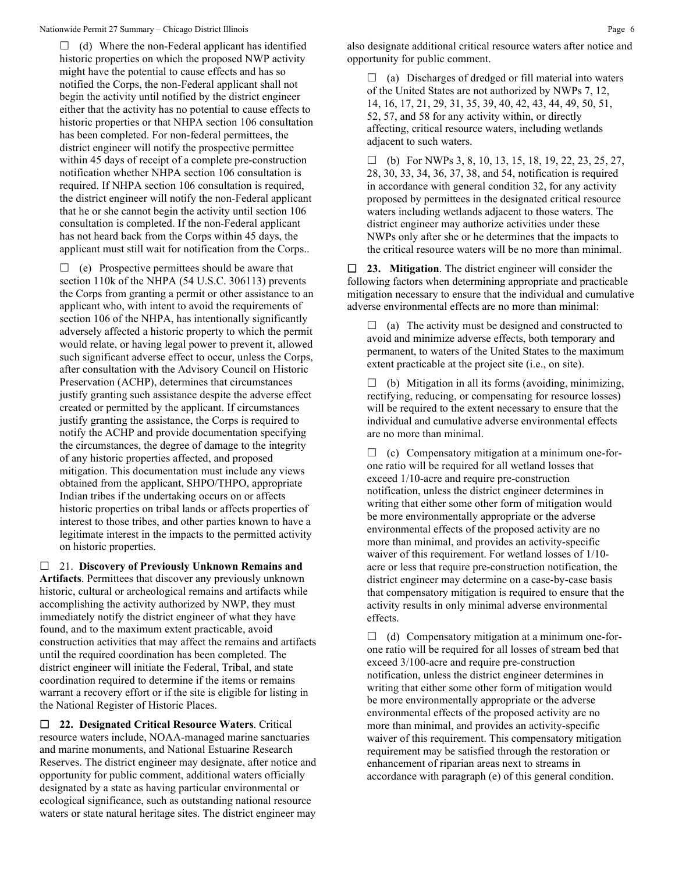$\Box$  (d) Where the non-Federal applicant has identified historic properties on which the proposed NWP activity might have the potential to cause effects and has so notified the Corps, the non-Federal applicant shall not begin the activity until notified by the district engineer either that the activity has no potential to cause effects to historic properties or that NHPA section 106 consultation has been completed. For non-federal permittees, the district engineer will notify the prospective permittee within 45 days of receipt of a complete pre-construction notification whether NHPA section 106 consultation is required. If NHPA section 106 consultation is required, the district engineer will notify the non-Federal applicant that he or she cannot begin the activity until section 106 consultation is completed. If the non-Federal applicant has not heard back from the Corps within 45 days, the applicant must still wait for notification from the Corps..

 $\Box$  (e) Prospective permittees should be aware that section 110k of the NHPA (54 U.S.C. 306113) prevents the Corps from granting a permit or other assistance to an applicant who, with intent to avoid the requirements of section 106 of the NHPA, has intentionally significantly adversely affected a historic property to which the permit would relate, or having legal power to prevent it, allowed such significant adverse effect to occur, unless the Corps, after consultation with the Advisory Council on Historic Preservation (ACHP), determines that circumstances justify granting such assistance despite the adverse effect created or permitted by the applicant. If circumstances justify granting the assistance, the Corps is required to notify the ACHP and provide documentation specifying the circumstances, the degree of damage to the integrity of any historic properties affected, and proposed mitigation. This documentation must include any views obtained from the applicant, SHPO/THPO, appropriate Indian tribes if the undertaking occurs on or affects historic properties on tribal lands or affects properties of interest to those tribes, and other parties known to have a legitimate interest in the impacts to the permitted activity on historic properties.

 21. **Discovery of Previously Unknown Remains and Artifacts**. Permittees that discover any previously unknown historic, cultural or archeological remains and artifacts while accomplishing the activity authorized by NWP, they must immediately notify the district engineer of what they have found, and to the maximum extent practicable, avoid construction activities that may affect the remains and artifacts until the required coordination has been completed. The district engineer will initiate the Federal, Tribal, and state coordination required to determine if the items or remains warrant a recovery effort or if the site is eligible for listing in the National Register of Historic Places.

 **22. Designated Critical Resource Waters**. Critical resource waters include, NOAA-managed marine sanctuaries and marine monuments, and National Estuarine Research Reserves. The district engineer may designate, after notice and opportunity for public comment, additional waters officially designated by a state as having particular environmental or ecological significance, such as outstanding national resource waters or state natural heritage sites. The district engineer may

 $\Box$  (a) Discharges of dredged or fill material into waters of the United States are not authorized by NWPs 7, 12, 14, 16, 17, 21, 29, 31, 35, 39, 40, 42, 43, 44, 49, 50, 51, 52, 57, and 58 for any activity within, or directly affecting, critical resource waters, including wetlands adjacent to such waters.

 $\Box$  (b) For NWPs 3, 8, 10, 13, 15, 18, 19, 22, 23, 25, 27, 28, 30, 33, 34, 36, 37, 38, and 54, notification is required in accordance with general condition 32, for any activity proposed by permittees in the designated critical resource waters including wetlands adjacent to those waters. The district engineer may authorize activities under these NWPs only after she or he determines that the impacts to the critical resource waters will be no more than minimal.

 **23. Mitigation**. The district engineer will consider the following factors when determining appropriate and practicable mitigation necessary to ensure that the individual and cumulative adverse environmental effects are no more than minimal:

 $\Box$  (a) The activity must be designed and constructed to avoid and minimize adverse effects, both temporary and permanent, to waters of the United States to the maximum extent practicable at the project site (i.e., on site).

 $\Box$  (b) Mitigation in all its forms (avoiding, minimizing, rectifying, reducing, or compensating for resource losses) will be required to the extent necessary to ensure that the individual and cumulative adverse environmental effects are no more than minimal.

 $\Box$  (c) Compensatory mitigation at a minimum one-forone ratio will be required for all wetland losses that exceed 1/10-acre and require pre-construction notification, unless the district engineer determines in writing that either some other form of mitigation would be more environmentally appropriate or the adverse environmental effects of the proposed activity are no more than minimal, and provides an activity-specific waiver of this requirement. For wetland losses of 1/10 acre or less that require pre-construction notification, the district engineer may determine on a case-by-case basis that compensatory mitigation is required to ensure that the activity results in only minimal adverse environmental effects.

 $\Box$  (d) Compensatory mitigation at a minimum one-forone ratio will be required for all losses of stream bed that exceed 3/100-acre and require pre-construction notification, unless the district engineer determines in writing that either some other form of mitigation would be more environmentally appropriate or the adverse environmental effects of the proposed activity are no more than minimal, and provides an activity-specific waiver of this requirement. This compensatory mitigation requirement may be satisfied through the restoration or enhancement of riparian areas next to streams in accordance with paragraph (e) of this general condition.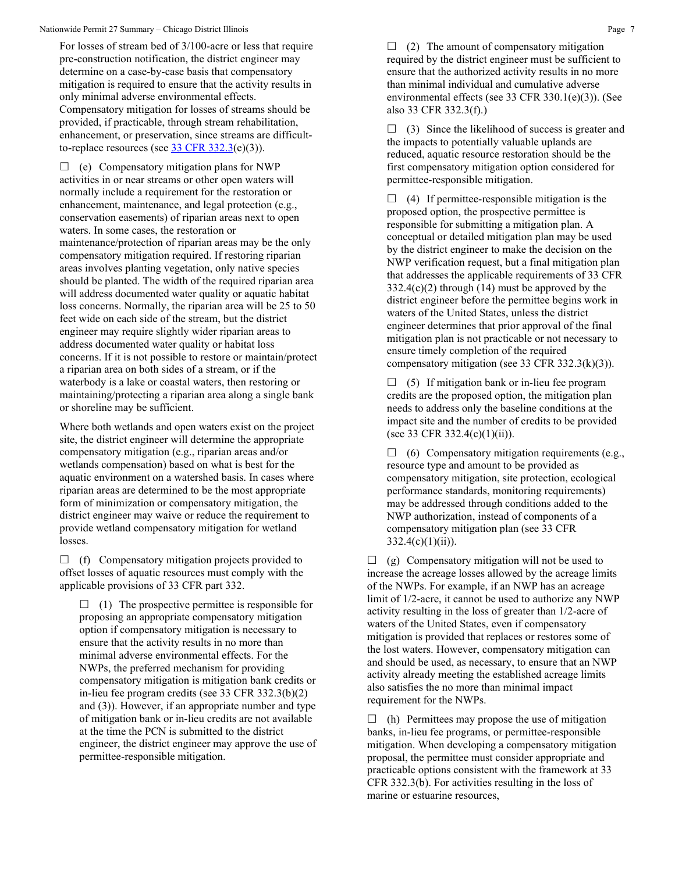For losses of stream bed of 3/100-acre or less that require pre-construction notification, the district engineer may determine on a case-by-case basis that compensatory mitigation is required to ensure that the activity results in only minimal adverse environmental effects. Compensatory mitigation for losses of streams should be provided, if practicable, through stream rehabilitation, enhancement, or preservation, since streams are difficultto-replace resources (see  $33$  CFR  $332.3(e)(3)$ ).

 $\Box$  (e) Compensatory mitigation plans for NWP activities in or near streams or other open waters will normally include a requirement for the restoration or enhancement, maintenance, and legal protection (e.g., conservation easements) of riparian areas next to open waters. In some cases, the restoration or maintenance/protection of riparian areas may be the only compensatory mitigation required. If restoring riparian areas involves planting vegetation, only native species should be planted. The width of the required riparian area will address documented water quality or aquatic habitat loss concerns. Normally, the riparian area will be 25 to 50 feet wide on each side of the stream, but the district engineer may require slightly wider riparian areas to address documented water quality or habitat loss concerns. If it is not possible to restore or maintain/protect a riparian area on both sides of a stream, or if the waterbody is a lake or coastal waters, then restoring or maintaining/protecting a riparian area along a single bank or shoreline may be sufficient.

Where both wetlands and open waters exist on the project site, the district engineer will determine the appropriate compensatory mitigation (e.g., riparian areas and/or wetlands compensation) based on what is best for the aquatic environment on a watershed basis. In cases where riparian areas are determined to be the most appropriate form of minimization or compensatory mitigation, the district engineer may waive or reduce the requirement to provide wetland compensatory mitigation for wetland losses.

 $\Box$  (f) Compensatory mitigation projects provided to offset losses of aquatic resources must comply with the applicable provisions of 33 CFR part 332.

 $\Box$  (1) The prospective permittee is responsible for proposing an appropriate compensatory mitigation option if compensatory mitigation is necessary to ensure that the activity results in no more than minimal adverse environmental effects. For the NWPs, the preferred mechanism for providing compensatory mitigation is mitigation bank credits or in-lieu fee program credits (see 33 CFR 332.3(b)(2) and (3)). However, if an appropriate number and type of mitigation bank or in-lieu credits are not available at the time the PCN is submitted to the district engineer, the district engineer may approve the use of permittee-responsible mitigation.

 $\Box$  (2) The amount of compensatory mitigation required by the district engineer must be sufficient to ensure that the authorized activity results in no more than minimal individual and cumulative adverse environmental effects (see 33 CFR 330.1(e)(3)). (See also 33 CFR 332.3(f).)

 $\Box$  (3) Since the likelihood of success is greater and the impacts to potentially valuable uplands are reduced, aquatic resource restoration should be the first compensatory mitigation option considered for permittee-responsible mitigation.

 $\Box$  (4) If permittee-responsible mitigation is the proposed option, the prospective permittee is responsible for submitting a mitigation plan. A conceptual or detailed mitigation plan may be used by the district engineer to make the decision on the NWP verification request, but a final mitigation plan that addresses the applicable requirements of 33 CFR  $332.4(c)(2)$  through (14) must be approved by the district engineer before the permittee begins work in waters of the United States, unless the district engineer determines that prior approval of the final mitigation plan is not practicable or not necessary to ensure timely completion of the required compensatory mitigation (see 33 CFR 332.3(k)(3)).

 $\Box$  (5) If mitigation bank or in-lieu fee program credits are the proposed option, the mitigation plan needs to address only the baseline conditions at the impact site and the number of credits to be provided (see 33 CFR 332.4(c)(1)(ii)).

 $\Box$  (6) Compensatory mitigation requirements (e.g., resource type and amount to be provided as compensatory mitigation, site protection, ecological performance standards, monitoring requirements) may be addressed through conditions added to the NWP authorization, instead of components of a compensatory mitigation plan (see 33 CFR  $332.4(c)(1)(ii)$ .

 $\Box$  (g) Compensatory mitigation will not be used to increase the acreage losses allowed by the acreage limits of the NWPs. For example, if an NWP has an acreage limit of 1/2-acre, it cannot be used to authorize any NWP activity resulting in the loss of greater than 1/2-acre of waters of the United States, even if compensatory mitigation is provided that replaces or restores some of the lost waters. However, compensatory mitigation can and should be used, as necessary, to ensure that an NWP activity already meeting the established acreage limits also satisfies the no more than minimal impact requirement for the NWPs.

 $\Box$  (h) Permittees may propose the use of mitigation banks, in-lieu fee programs, or permittee-responsible mitigation. When developing a compensatory mitigation proposal, the permittee must consider appropriate and practicable options consistent with the framework at 33 CFR 332.3(b). For activities resulting in the loss of marine or estuarine resources,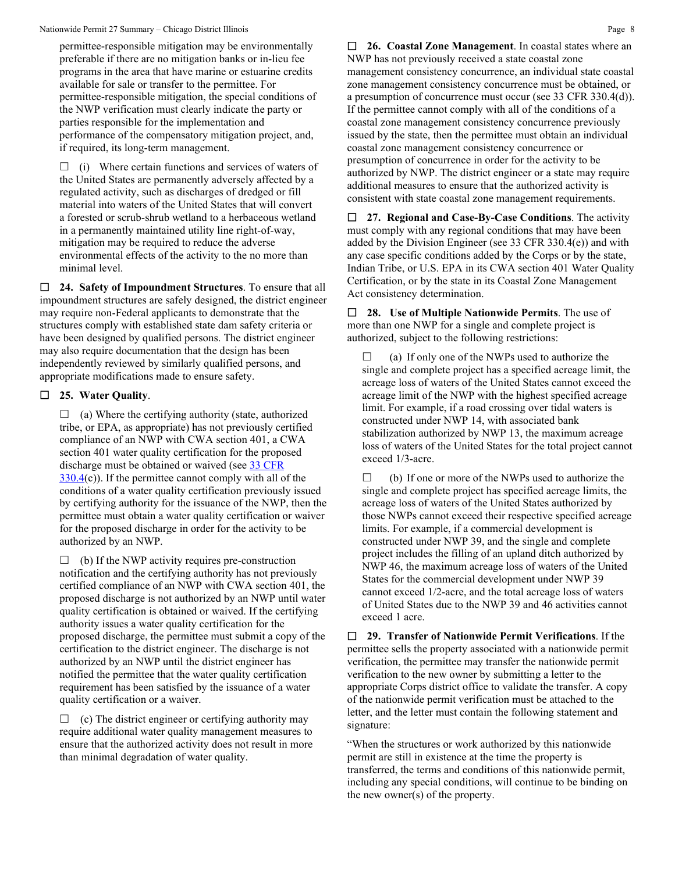permittee-responsible mitigation may be environmentally preferable if there are no mitigation banks or in-lieu fee programs in the area that have marine or estuarine credits available for sale or transfer to the permittee. For permittee-responsible mitigation, the special conditions of the NWP verification must clearly indicate the party or parties responsible for the implementation and performance of the compensatory mitigation project, and, if required, its long-term management.

 $\Box$  (i) Where certain functions and services of waters of the United States are permanently adversely affected by a regulated activity, such as discharges of dredged or fill material into waters of the United States that will convert a forested or scrub-shrub wetland to a herbaceous wetland in a permanently maintained utility line right-of-way, mitigation may be required to reduce the adverse environmental effects of the activity to the no more than minimal level.

 **24. Safety of Impoundment Structures**. To ensure that all impoundment structures are safely designed, the district engineer may require non-Federal applicants to demonstrate that the structures comply with established state dam safety criteria or have been designed by qualified persons. The district engineer may also require documentation that the design has been independently reviewed by similarly qualified persons, and appropriate modifications made to ensure safety.

## **25. Water Quality**.

 $\Box$  (a) Where the certifying authority (state, authorized tribe, or EPA, as appropriate) has not previously certified compliance of an NWP with CWA section 401, a CWA section 401 water quality certification for the proposed discharge must be obtained or waived (see [33 CFR](https://www.federalregister.gov/select-citation/2021/01/13/33-CFR-330.4)   $330.4(c)$  $330.4(c)$ ). If the permittee cannot comply with all of the conditions of a water quality certification previously issued by certifying authority for the issuance of the NWP, then the permittee must obtain a water quality certification or waiver for the proposed discharge in order for the activity to be authorized by an NWP.

 $\Box$  (b) If the NWP activity requires pre-construction notification and the certifying authority has not previously certified compliance of an NWP with CWA section 401, the proposed discharge is not authorized by an NWP until water quality certification is obtained or waived. If the certifying authority issues a water quality certification for the proposed discharge, the permittee must submit a copy of the certification to the district engineer. The discharge is not authorized by an NWP until the district engineer has notified the permittee that the water quality certification requirement has been satisfied by the issuance of a water quality certification or a waiver.

 $\Box$  (c) The district engineer or certifying authority may require additional water quality management measures to ensure that the authorized activity does not result in more than minimal degradation of water quality.

 **26. Coastal Zone Management**. In coastal states where an NWP has not previously received a state coastal zone management consistency concurrence, an individual state coastal zone management consistency concurrence must be obtained, or a presumption of concurrence must occur (see 33 CFR 330.4(d)). If the permittee cannot comply with all of the conditions of a coastal zone management consistency concurrence previously issued by the state, then the permittee must obtain an individual coastal zone management consistency concurrence or presumption of concurrence in order for the activity to be authorized by NWP. The district engineer or a state may require additional measures to ensure that the authorized activity is

 **27. Regional and Case-By-Case Conditions**. The activity must comply with any regional conditions that may have been added by the Division Engineer (see 33 CFR 330.4(e)) and with any case specific conditions added by the Corps or by the state, Indian Tribe, or U.S. EPA in its CWA section 401 Water Quality Certification, or by the state in its Coastal Zone Management Act consistency determination.

consistent with state coastal zone management requirements.

 **28. Use of Multiple Nationwide Permits**. The use of more than one NWP for a single and complete project is authorized, subject to the following restrictions:

 $\Box$  (a) If only one of the NWPs used to authorize the single and complete project has a specified acreage limit, the acreage loss of waters of the United States cannot exceed the acreage limit of the NWP with the highest specified acreage limit. For example, if a road crossing over tidal waters is constructed under NWP 14, with associated bank stabilization authorized by NWP 13, the maximum acreage loss of waters of the United States for the total project cannot exceed 1/3-acre.

 $\Box$  (b) If one or more of the NWPs used to authorize the single and complete project has specified acreage limits, the acreage loss of waters of the United States authorized by those NWPs cannot exceed their respective specified acreage limits. For example, if a commercial development is constructed under NWP 39, and the single and complete project includes the filling of an upland ditch authorized by NWP 46, the maximum acreage loss of waters of the United States for the commercial development under NWP 39 cannot exceed 1/2-acre, and the total acreage loss of waters of United States due to the NWP 39 and 46 activities cannot exceed 1 acre.

 **29. Transfer of Nationwide Permit Verifications**. If the permittee sells the property associated with a nationwide permit verification, the permittee may transfer the nationwide permit verification to the new owner by submitting a letter to the appropriate Corps district office to validate the transfer. A copy of the nationwide permit verification must be attached to the letter, and the letter must contain the following statement and signature:

"When the structures or work authorized by this nationwide permit are still in existence at the time the property is transferred, the terms and conditions of this nationwide permit, including any special conditions, will continue to be binding on the new owner(s) of the property.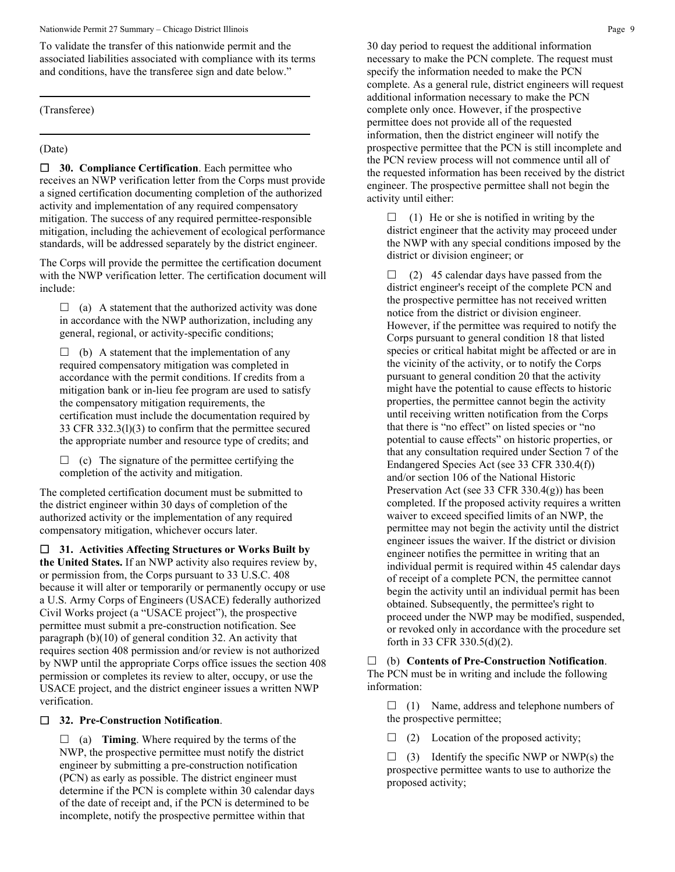To validate the transfer of this nationwide permit and the associated liabilities associated with compliance with its terms and conditions, have the transferee sign and date below."

(Transferee)

## (Date)

 **30. Compliance Certification**. Each permittee who receives an NWP verification letter from the Corps must provide a signed certification documenting completion of the authorized activity and implementation of any required compensatory mitigation. The success of any required permittee-responsible mitigation, including the achievement of ecological performance standards, will be addressed separately by the district engineer.

The Corps will provide the permittee the certification document with the NWP verification letter. The certification document will include:

 $\Box$  (a) A statement that the authorized activity was done in accordance with the NWP authorization, including any general, regional, or activity-specific conditions;

 $\Box$  (b) A statement that the implementation of any required compensatory mitigation was completed in accordance with the permit conditions. If credits from a mitigation bank or in-lieu fee program are used to satisfy the compensatory mitigation requirements, the certification must include the documentation required by 33 CFR 332.3(l)(3) to confirm that the permittee secured the appropriate number and resource type of credits; and

 $\Box$  (c) The signature of the permittee certifying the completion of the activity and mitigation.

The completed certification document must be submitted to the district engineer within 30 days of completion of the authorized activity or the implementation of any required compensatory mitigation, whichever occurs later.

 **31. Activities Affecting Structures or Works Built by the United States.** If an NWP activity also requires review by, or permission from, the Corps pursuant to 33 U.S.C. 408 because it will alter or temporarily or permanently occupy or use a U.S. Army Corps of Engineers (USACE) federally authorized Civil Works project (a "USACE project"), the prospective permittee must submit a pre-construction notification. See paragraph (b)(10) of general condition 32. An activity that requires section 408 permission and/or review is not authorized by NWP until the appropriate Corps office issues the section 408 permission or completes its review to alter, occupy, or use the USACE project, and the district engineer issues a written NWP verification.

# **32. Pre-Construction Notification**.

 $\Box$  (a) **Timing**. Where required by the terms of the NWP, the prospective permittee must notify the district engineer by submitting a pre-construction notification (PCN) as early as possible. The district engineer must determine if the PCN is complete within 30 calendar days of the date of receipt and, if the PCN is determined to be incomplete, notify the prospective permittee within that

30 day period to request the additional information necessary to make the PCN complete. The request must specify the information needed to make the PCN complete. As a general rule, district engineers will request additional information necessary to make the PCN complete only once. However, if the prospective permittee does not provide all of the requested information, then the district engineer will notify the prospective permittee that the PCN is still incomplete and the PCN review process will not commence until all of the requested information has been received by the district engineer. The prospective permittee shall not begin the activity until either:

 $\Box$  (1) He or she is notified in writing by the district engineer that the activity may proceed under the NWP with any special conditions imposed by the district or division engineer; or

 $\Box$  (2) 45 calendar days have passed from the district engineer's receipt of the complete PCN and the prospective permittee has not received written notice from the district or division engineer. However, if the permittee was required to notify the Corps pursuant to general condition 18 that listed species or critical habitat might be affected or are in the vicinity of the activity, or to notify the Corps pursuant to general condition 20 that the activity might have the potential to cause effects to historic properties, the permittee cannot begin the activity until receiving written notification from the Corps that there is "no effect" on listed species or "no potential to cause effects" on historic properties, or that any consultation required under Section 7 of the Endangered Species Act (see 33 CFR 330.4(f)) and/or section 106 of the National Historic Preservation Act (see 33 CFR 330.4(g)) has been completed. If the proposed activity requires a written waiver to exceed specified limits of an NWP, the permittee may not begin the activity until the district engineer issues the waiver. If the district or division engineer notifies the permittee in writing that an individual permit is required within 45 calendar days of receipt of a complete PCN, the permittee cannot begin the activity until an individual permit has been obtained. Subsequently, the permittee's right to proceed under the NWP may be modified, suspended, or revoked only in accordance with the procedure set forth in 33 CFR 330.5(d)(2).

 (b) **Contents of Pre-Construction Notification**. The PCN must be in writing and include the following information:

 $\Box$  (1) Name, address and telephone numbers of the prospective permittee;

 $\Box$  (2) Location of the proposed activity;

 $\Box$  (3) Identify the specific NWP or NWP(s) the prospective permittee wants to use to authorize the proposed activity;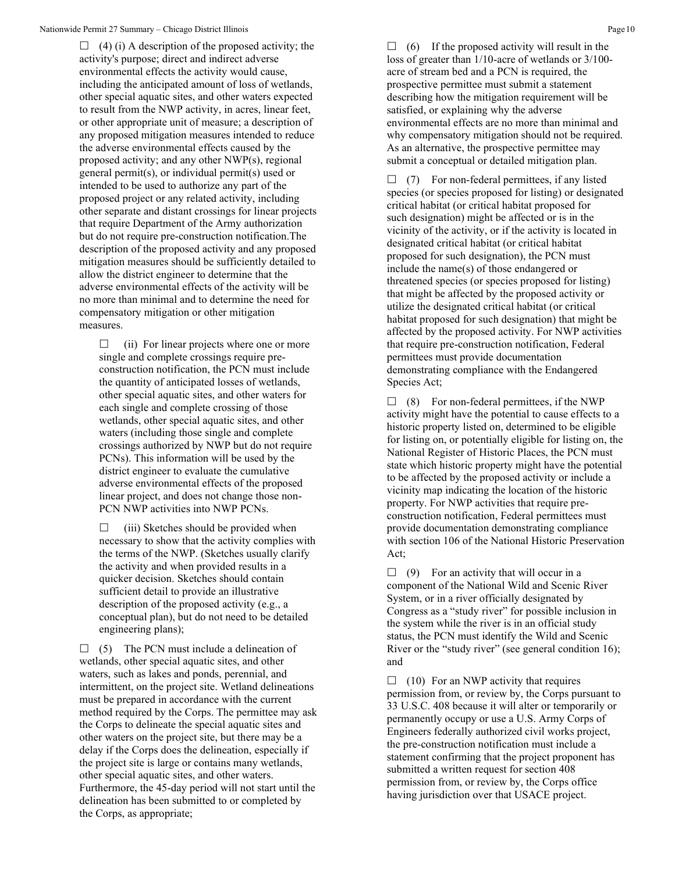$\Box$  (4) (i) A description of the proposed activity; the activity's purpose; direct and indirect adverse environmental effects the activity would cause, including the anticipated amount of loss of wetlands, other special aquatic sites, and other waters expected to result from the NWP activity, in acres, linear feet, or other appropriate unit of measure; a description of any proposed mitigation measures intended to reduce the adverse environmental effects caused by the proposed activity; and any other NWP(s), regional general permit(s), or individual permit(s) used or intended to be used to authorize any part of the proposed project or any related activity, including other separate and distant crossings for linear projects that require Department of the Army authorization but do not require pre-construction notification.The description of the proposed activity and any proposed mitigation measures should be sufficiently detailed to allow the district engineer to determine that the adverse environmental effects of the activity will be no more than minimal and to determine the need for compensatory mitigation or other mitigation measures.

 $\Box$  (ii) For linear projects where one or more single and complete crossings require preconstruction notification, the PCN must include the quantity of anticipated losses of wetlands, other special aquatic sites, and other waters for each single and complete crossing of those wetlands, other special aquatic sites, and other waters (including those single and complete crossings authorized by NWP but do not require PCNs). This information will be used by the district engineer to evaluate the cumulative adverse environmental effects of the proposed linear project, and does not change those non-PCN NWP activities into NWP PCNs.

 $\Box$  (iii) Sketches should be provided when necessary to show that the activity complies with the terms of the NWP. (Sketches usually clarify the activity and when provided results in a quicker decision. Sketches should contain sufficient detail to provide an illustrative description of the proposed activity (e.g., a conceptual plan), but do not need to be detailed engineering plans);

 $\Box$  (5) The PCN must include a delineation of wetlands, other special aquatic sites, and other waters, such as lakes and ponds, perennial, and intermittent, on the project site. Wetland delineations must be prepared in accordance with the current method required by the Corps. The permittee may ask the Corps to delineate the special aquatic sites and other waters on the project site, but there may be a delay if the Corps does the delineation, especially if the project site is large or contains many wetlands, other special aquatic sites, and other waters. Furthermore, the 45-day period will not start until the delineation has been submitted to or completed by the Corps, as appropriate;

 $\Box$  (6) If the proposed activity will result in the loss of greater than 1/10-acre of wetlands or 3/100 acre of stream bed and a PCN is required, the prospective permittee must submit a statement describing how the mitigation requirement will be satisfied, or explaining why the adverse environmental effects are no more than minimal and why compensatory mitigation should not be required. As an alternative, the prospective permittee may submit a conceptual or detailed mitigation plan.

 $\Box$  (7) For non-federal permittees, if any listed species (or species proposed for listing) or designated critical habitat (or critical habitat proposed for such designation) might be affected or is in the vicinity of the activity, or if the activity is located in designated critical habitat (or critical habitat proposed for such designation), the PCN must include the name(s) of those endangered or threatened species (or species proposed for listing) that might be affected by the proposed activity or utilize the designated critical habitat (or critical habitat proposed for such designation) that might be affected by the proposed activity. For NWP activities that require pre-construction notification, Federal permittees must provide documentation demonstrating compliance with the Endangered Species Act;

 $\Box$  (8) For non-federal permittees, if the NWP activity might have the potential to cause effects to a historic property listed on, determined to be eligible for listing on, or potentially eligible for listing on, the National Register of Historic Places, the PCN must state which historic property might have the potential to be affected by the proposed activity or include a vicinity map indicating the location of the historic property. For NWP activities that require preconstruction notification, Federal permittees must provide documentation demonstrating compliance with section 106 of the National Historic Preservation Act;

 $\Box$  (9) For an activity that will occur in a component of the National Wild and Scenic River System, or in a river officially designated by Congress as a "study river" for possible inclusion in the system while the river is in an official study status, the PCN must identify the Wild and Scenic River or the "study river" (see general condition 16); and

 $\Box$  (10) For an NWP activity that requires permission from, or review by, the Corps pursuant to 33 U.S.C. 408 because it will alter or temporarily or permanently occupy or use a U.S. Army Corps of Engineers federally authorized civil works project, the pre-construction notification must include a statement confirming that the project proponent has submitted a written request for section 408 permission from, or review by, the Corps office having jurisdiction over that USACE project.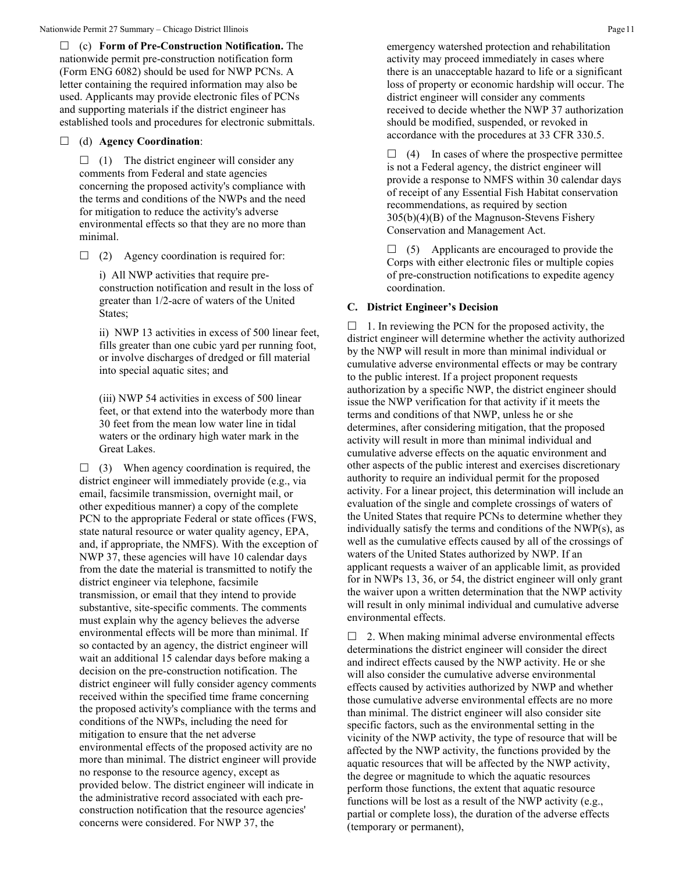(c) **Form of Pre-Construction Notification.** The nationwide permit pre-construction notification form (Form ENG 6082) should be used for NWP PCNs. A letter containing the required information may also be used. Applicants may provide electronic files of PCNs and supporting materials if the district engineer has established tools and procedures for electronic submittals.

### (d) **Agency Coordination**:

 $\Box$  (1) The district engineer will consider any comments from Federal and state agencies concerning the proposed activity's compliance with the terms and conditions of the NWPs and the need for mitigation to reduce the activity's adverse environmental effects so that they are no more than minimal.

 $\Box$  (2) Agency coordination is required for:

i) All NWP activities that require preconstruction notification and result in the loss of greater than 1/2-acre of waters of the United States;

ii) NWP 13 activities in excess of 500 linear feet, fills greater than one cubic yard per running foot, or involve discharges of dredged or fill material into special aquatic sites; and

(iii) NWP 54 activities in excess of 500 linear feet, or that extend into the waterbody more than 30 feet from the mean low water line in tidal waters or the ordinary high water mark in the Great Lakes.

 $\Box$  (3) When agency coordination is required, the district engineer will immediately provide (e.g., via email, facsimile transmission, overnight mail, or other expeditious manner) a copy of the complete PCN to the appropriate Federal or state offices (FWS, state natural resource or water quality agency, EPA, and, if appropriate, the NMFS). With the exception of NWP 37, these agencies will have 10 calendar days from the date the material is transmitted to notify the district engineer via telephone, facsimile transmission, or email that they intend to provide substantive, site-specific comments. The comments must explain why the agency believes the adverse environmental effects will be more than minimal. If so contacted by an agency, the district engineer will wait an additional 15 calendar days before making a decision on the pre-construction notification. The district engineer will fully consider agency comments received within the specified time frame concerning the proposed activity's compliance with the terms and conditions of the NWPs, including the need for mitigation to ensure that the net adverse environmental effects of the proposed activity are no more than minimal. The district engineer will provide no response to the resource agency, except as provided below. The district engineer will indicate in the administrative record associated with each preconstruction notification that the resource agencies' concerns were considered. For NWP 37, the

emergency watershed protection and rehabilitation activity may proceed immediately in cases where there is an unacceptable hazard to life or a significant loss of property or economic hardship will occur. The district engineer will consider any comments received to decide whether the NWP 37 authorization should be modified, suspended, or revoked in accordance with the procedures at 33 CFR 330.5.

 $\Box$  (4) In cases of where the prospective permittee is not a Federal agency, the district engineer will provide a response to NMFS within 30 calendar days of receipt of any Essential Fish Habitat conservation recommendations, as required by section 305(b)(4)(B) of the Magnuson-Stevens Fishery Conservation and Management Act.

 $\Box$  (5) Applicants are encouraged to provide the Corps with either electronic files or multiple copies of pre-construction notifications to expedite agency coordination.

## **C. District Engineer's Decision**

 $\Box$  1. In reviewing the PCN for the proposed activity, the district engineer will determine whether the activity authorized by the NWP will result in more than minimal individual or cumulative adverse environmental effects or may be contrary to the public interest. If a project proponent requests authorization by a specific NWP, the district engineer should issue the NWP verification for that activity if it meets the terms and conditions of that NWP, unless he or she determines, after considering mitigation, that the proposed activity will result in more than minimal individual and cumulative adverse effects on the aquatic environment and other aspects of the public interest and exercises discretionary authority to require an individual permit for the proposed activity. For a linear project, this determination will include an evaluation of the single and complete crossings of waters of the United States that require PCNs to determine whether they individually satisfy the terms and conditions of the  $NWP(s)$ , as well as the cumulative effects caused by all of the crossings of waters of the United States authorized by NWP. If an applicant requests a waiver of an applicable limit, as provided for in NWPs 13, 36, or 54, the district engineer will only grant the waiver upon a written determination that the NWP activity will result in only minimal individual and cumulative adverse environmental effects.

 $\Box$  2. When making minimal adverse environmental effects determinations the district engineer will consider the direct and indirect effects caused by the NWP activity. He or she will also consider the cumulative adverse environmental effects caused by activities authorized by NWP and whether those cumulative adverse environmental effects are no more than minimal. The district engineer will also consider site specific factors, such as the environmental setting in the vicinity of the NWP activity, the type of resource that will be affected by the NWP activity, the functions provided by the aquatic resources that will be affected by the NWP activity, the degree or magnitude to which the aquatic resources perform those functions, the extent that aquatic resource functions will be lost as a result of the NWP activity (e.g., partial or complete loss), the duration of the adverse effects (temporary or permanent),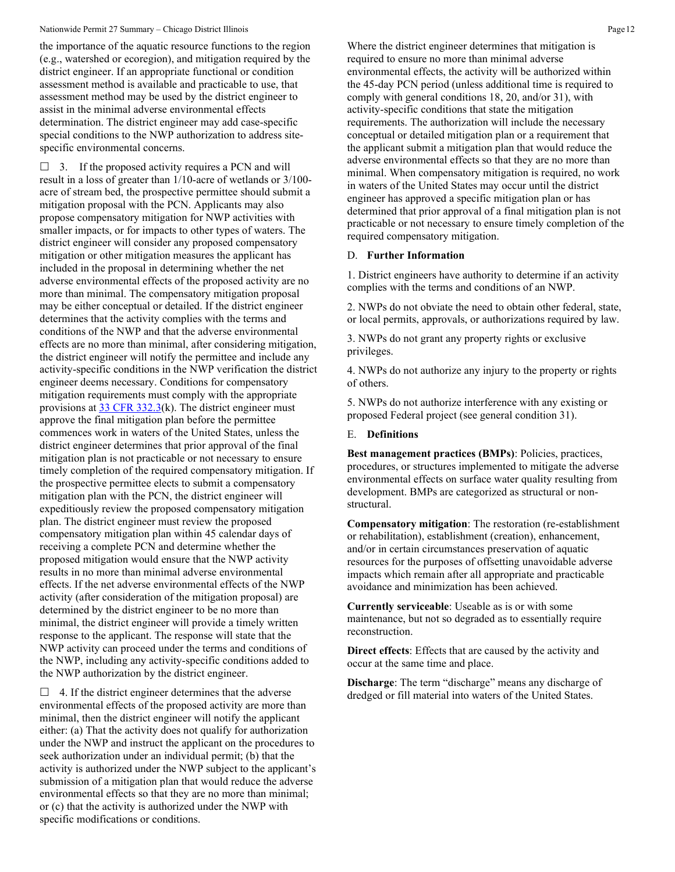the importance of the aquatic resource functions to the region (e.g., watershed or ecoregion), and mitigation required by the district engineer. If an appropriate functional or condition assessment method is available and practicable to use, that assessment method may be used by the district engineer to assist in the minimal adverse environmental effects determination. The district engineer may add case-specific special conditions to the NWP authorization to address sitespecific environmental concerns.

 $\Box$  3. If the proposed activity requires a PCN and will result in a loss of greater than 1/10-acre of wetlands or 3/100 acre of stream bed, the prospective permittee should submit a mitigation proposal with the PCN. Applicants may also propose compensatory mitigation for NWP activities with smaller impacts, or for impacts to other types of waters. The district engineer will consider any proposed compensatory mitigation or other mitigation measures the applicant has included in the proposal in determining whether the net adverse environmental effects of the proposed activity are no more than minimal. The compensatory mitigation proposal may be either conceptual or detailed. If the district engineer determines that the activity complies with the terms and conditions of the NWP and that the adverse environmental effects are no more than minimal, after considering mitigation, the district engineer will notify the permittee and include any activity-specific conditions in the NWP verification the district engineer deems necessary. Conditions for compensatory mitigation requirements must comply with the appropriate provisions at  $33$  CFR  $332.3$ (k). The district engineer must approve the final mitigation plan before the permittee commences work in waters of the United States, unless the district engineer determines that prior approval of the final mitigation plan is not practicable or not necessary to ensure timely completion of the required compensatory mitigation. If the prospective permittee elects to submit a compensatory mitigation plan with the PCN, the district engineer will expeditiously review the proposed compensatory mitigation plan. The district engineer must review the proposed compensatory mitigation plan within 45 calendar days of receiving a complete PCN and determine whether the proposed mitigation would ensure that the NWP activity results in no more than minimal adverse environmental effects. If the net adverse environmental effects of the NWP activity (after consideration of the mitigation proposal) are determined by the district engineer to be no more than minimal, the district engineer will provide a timely written response to the applicant. The response will state that the NWP activity can proceed under the terms and conditions of the NWP, including any activity-specific conditions added to the NWP authorization by the district engineer.

 $\Box$  4. If the district engineer determines that the adverse environmental effects of the proposed activity are more than minimal, then the district engineer will notify the applicant either: (a) That the activity does not qualify for authorization under the NWP and instruct the applicant on the procedures to seek authorization under an individual permit; (b) that the activity is authorized under the NWP subject to the applicant's submission of a mitigation plan that would reduce the adverse environmental effects so that they are no more than minimal; or (c) that the activity is authorized under the NWP with specific modifications or conditions.

Where the district engineer determines that mitigation is required to ensure no more than minimal adverse environmental effects, the activity will be authorized within the 45-day PCN period (unless additional time is required to comply with general conditions 18, 20, and/or 31), with activity-specific conditions that state the mitigation requirements. The authorization will include the necessary conceptual or detailed mitigation plan or a requirement that the applicant submit a mitigation plan that would reduce the adverse environmental effects so that they are no more than minimal. When compensatory mitigation is required, no work in waters of the United States may occur until the district engineer has approved a specific mitigation plan or has determined that prior approval of a final mitigation plan is not practicable or not necessary to ensure timely completion of the required compensatory mitigation.

### D. **Further Information**

1. District engineers have authority to determine if an activity complies with the terms and conditions of an NWP.

2. NWPs do not obviate the need to obtain other federal, state, or local permits, approvals, or authorizations required by law.

3. NWPs do not grant any property rights or exclusive privileges.

4. NWPs do not authorize any injury to the property or rights of others.

5. NWPs do not authorize interference with any existing or proposed Federal project (see general condition 31).

### E. **Definitions**

**Best management practices (BMPs)**: Policies, practices, procedures, or structures implemented to mitigate the adverse environmental effects on surface water quality resulting from development. BMPs are categorized as structural or nonstructural.

**Compensatory mitigation**: The restoration (re-establishment or rehabilitation), establishment (creation), enhancement, and/or in certain circumstances preservation of aquatic resources for the purposes of offsetting unavoidable adverse impacts which remain after all appropriate and practicable avoidance and minimization has been achieved.

**Currently serviceable**: Useable as is or with some maintenance, but not so degraded as to essentially require reconstruction.

**Direct effects**: Effects that are caused by the activity and occur at the same time and place.

**Discharge**: The term "discharge" means any discharge of dredged or fill material into waters of the United States.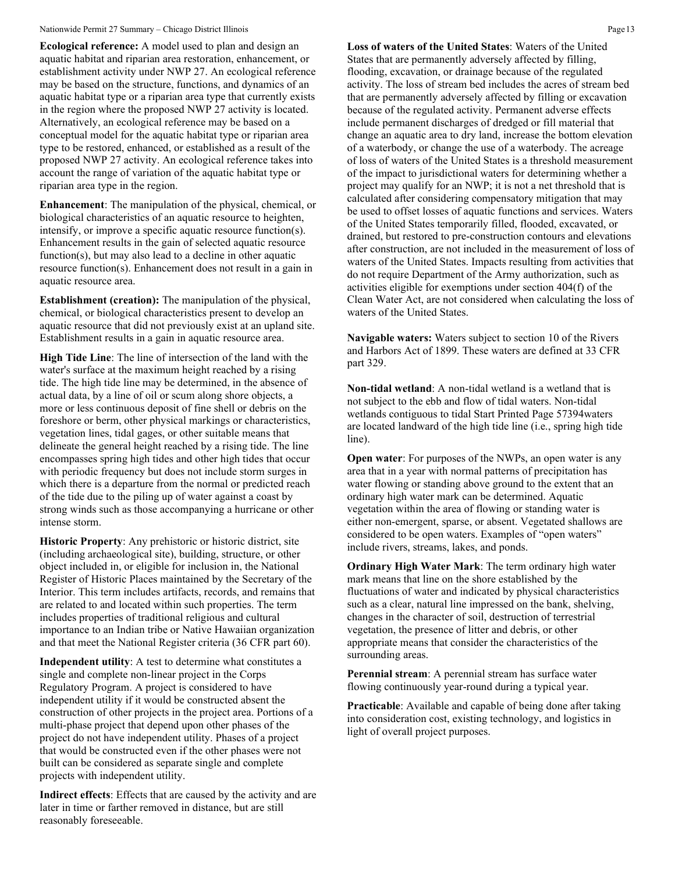**Ecological reference:** A model used to plan and design an aquatic habitat and riparian area restoration, enhancement, or establishment activity under NWP 27. An ecological reference may be based on the structure, functions, and dynamics of an aquatic habitat type or a riparian area type that currently exists in the region where the proposed NWP 27 activity is located. Alternatively, an ecological reference may be based on a conceptual model for the aquatic habitat type or riparian area type to be restored, enhanced, or established as a result of the proposed NWP 27 activity. An ecological reference takes into account the range of variation of the aquatic habitat type or riparian area type in the region.

**Enhancement**: The manipulation of the physical, chemical, or biological characteristics of an aquatic resource to heighten, intensify, or improve a specific aquatic resource function(s). Enhancement results in the gain of selected aquatic resource function(s), but may also lead to a decline in other aquatic resource function(s). Enhancement does not result in a gain in aquatic resource area.

**Establishment (creation):** The manipulation of the physical, chemical, or biological characteristics present to develop an aquatic resource that did not previously exist at an upland site. Establishment results in a gain in aquatic resource area.

**High Tide Line**: The line of intersection of the land with the water's surface at the maximum height reached by a rising tide. The high tide line may be determined, in the absence of actual data, by a line of oil or scum along shore objects, a more or less continuous deposit of fine shell or debris on the foreshore or berm, other physical markings or characteristics, vegetation lines, tidal gages, or other suitable means that delineate the general height reached by a rising tide. The line encompasses spring high tides and other high tides that occur with periodic frequency but does not include storm surges in which there is a departure from the normal or predicted reach of the tide due to the piling up of water against a coast by strong winds such as those accompanying a hurricane or other intense storm.

**Historic Property**: Any prehistoric or historic district, site (including archaeological site), building, structure, or other object included in, or eligible for inclusion in, the National Register of Historic Places maintained by the Secretary of the Interior. This term includes artifacts, records, and remains that are related to and located within such properties. The term includes properties of traditional religious and cultural importance to an Indian tribe or Native Hawaiian organization and that meet the National Register criteria (36 CFR part 60).

**Independent utility**: A test to determine what constitutes a single and complete non-linear project in the Corps Regulatory Program. A project is considered to have independent utility if it would be constructed absent the construction of other projects in the project area. Portions of a multi-phase project that depend upon other phases of the project do not have independent utility. Phases of a project that would be constructed even if the other phases were not built can be considered as separate single and complete projects with independent utility.

**Indirect effects**: Effects that are caused by the activity and are later in time or farther removed in distance, but are still reasonably foreseeable.

**Loss of waters of the United States**: Waters of the United States that are permanently adversely affected by filling, flooding, excavation, or drainage because of the regulated activity. The loss of stream bed includes the acres of stream bed that are permanently adversely affected by filling or excavation because of the regulated activity. Permanent adverse effects include permanent discharges of dredged or fill material that change an aquatic area to dry land, increase the bottom elevation of a waterbody, or change the use of a waterbody. The acreage of loss of waters of the United States is a threshold measurement of the impact to jurisdictional waters for determining whether a project may qualify for an NWP; it is not a net threshold that is calculated after considering compensatory mitigation that may be used to offset losses of aquatic functions and services. Waters of the United States temporarily filled, flooded, excavated, or drained, but restored to pre-construction contours and elevations after construction, are not included in the measurement of loss of waters of the United States. Impacts resulting from activities that do not require Department of the Army authorization, such as activities eligible for exemptions under section 404(f) of the Clean Water Act, are not considered when calculating the loss of waters of the United States.

**Navigable waters:** Waters subject to section 10 of the Rivers and Harbors Act of 1899. These waters are defined at 33 CFR part 329.

**Non-tidal wetland**: A non-tidal wetland is a wetland that is not subject to the ebb and flow of tidal waters. Non-tidal wetlands contiguous to tidal Start Printed Page 57394waters are located landward of the high tide line (i.e., spring high tide line).

**Open water:** For purposes of the NWPs, an open water is any area that in a year with normal patterns of precipitation has water flowing or standing above ground to the extent that an ordinary high water mark can be determined. Aquatic vegetation within the area of flowing or standing water is either non-emergent, sparse, or absent. Vegetated shallows are considered to be open waters. Examples of "open waters" include rivers, streams, lakes, and ponds.

**Ordinary High Water Mark**: The term ordinary high water mark means that line on the shore established by the fluctuations of water and indicated by physical characteristics such as a clear, natural line impressed on the bank, shelving, changes in the character of soil, destruction of terrestrial vegetation, the presence of litter and debris, or other appropriate means that consider the characteristics of the surrounding areas.

**Perennial stream**: A perennial stream has surface water flowing continuously year-round during a typical year.

**Practicable**: Available and capable of being done after taking into consideration cost, existing technology, and logistics in light of overall project purposes.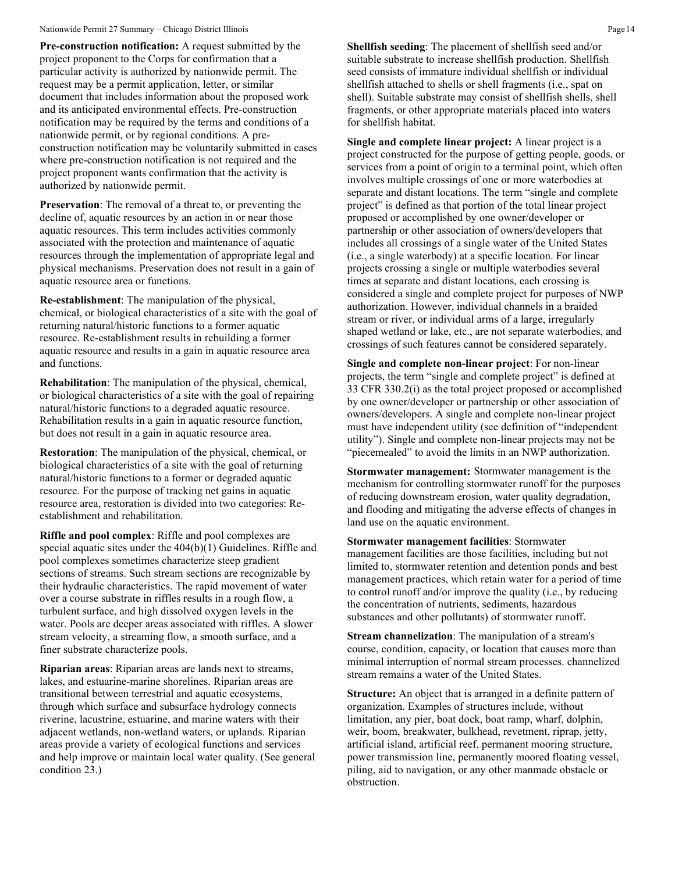**Pre-construction notification:** A request submitted by the project proponent to the Corps for confirmation that a particular activity is authorized by nationwide permit. The request may be a permit application, letter, or similar document that includes information about the proposed work and its anticipated environmental effects. Pre-construction notification may be required by the terms and conditions of a nationwide permit, or by regional conditions. A preconstruction notification may be voluntarily submitted in cases where pre-construction notification is not required and the project proponent wants confirmation that the activity is authorized by nationwide permit.

**Preservation**: The removal of a threat to, or preventing the decline of, aquatic resources by an action in or near those aquatic resources. This term includes activities commonly associated with the protection and maintenance of aquatic resources through the implementation of appropriate legal and physical mechanisms. Preservation does not result in a gain of aquatic resource area or functions.

**Re-establishment**: The manipulation of the physical, chemical, or biological characteristics of a site with the goal of returning natural/historic functions to a former aquatic resource. Re-establishment results in rebuilding a former aquatic resource and results in a gain in aquatic resource area and functions.

**Rehabilitation**: The manipulation of the physical, chemical, or biological characteristics of a site with the goal of repairing natural/historic functions to a degraded aquatic resource. Rehabilitation results in a gain in aquatic resource function, but does not result in a gain in aquatic resource area.

**Restoration**: The manipulation of the physical, chemical, or biological characteristics of a site with the goal of returning natural/historic functions to a former or degraded aquatic resource. For the purpose of tracking net gains in aquatic resource area, restoration is divided into two categories: Reestablishment and rehabilitation.

**Riffle and pool complex**: Riffle and pool complexes are special aquatic sites under the 404(b)(1) Guidelines. Riffle and pool complexes sometimes characterize steep gradient sections of streams. Such stream sections are recognizable by their hydraulic characteristics. The rapid movement of water over a course substrate in riffles results in a rough flow, a turbulent surface, and high dissolved oxygen levels in the water. Pools are deeper areas associated with riffles. A slower stream velocity, a streaming flow, a smooth surface, and a finer substrate characterize pools.

**Riparian areas**: Riparian areas are lands next to streams, lakes, and estuarine-marine shorelines. Riparian areas are transitional between terrestrial and aquatic ecosystems, through which surface and subsurface hydrology connects riverine, lacustrine, estuarine, and marine waters with their adjacent wetlands, non-wetland waters, or uplands. Riparian areas provide a variety of ecological functions and services and help improve or maintain local water quality. (See general condition 23.)

**Shellfish seeding**: The placement of shellfish seed and/or suitable substrate to increase shellfish production. Shellfish seed consists of immature individual shellfish or individual shellfish attached to shells or shell fragments (i.e., spat on shell). Suitable substrate may consist of shellfish shells, shell fragments, or other appropriate materials placed into waters for shellfish habitat.

**Single and complete linear project:** A linear project is a project constructed for the purpose of getting people, goods, or services from a point of origin to a terminal point, which often involves multiple crossings of one or more waterbodies at separate and distant locations. The term "single and complete project" is defined as that portion of the total linear project proposed or accomplished by one owner/developer or partnership or other association of owners/developers that includes all crossings of a single water of the United States (i.e., a single waterbody) at a specific location. For linear projects crossing a single or multiple waterbodies several times at separate and distant locations, each crossing is considered a single and complete project for purposes of NWP authorization. However, individual channels in a braided stream or river, or individual arms of a large, irregularly shaped wetland or lake, etc., are not separate waterbodies, and crossings of such features cannot be considered separately.

**Single and complete non-linear project**: For non-linear projects, the term "single and complete project" is defined at 33 CFR 330.2(i) as the total project proposed or accomplished by one owner/developer or partnership or other association of owners/developers. A single and complete non-linear project must have independent utility (see definition of "independent utility"). Single and complete non-linear projects may not be "piecemealed" to avoid the limits in an NWP authorization.

**Stormwater management:** Stormwater management is the mechanism for controlling stormwater runoff for the purposes of reducing downstream erosion, water quality degradation, and flooding and mitigating the adverse effects of changes in land use on the aquatic environment.

**Stormwater management facilities**: Stormwater management facilities are those facilities, including but not limited to, stormwater retention and detention ponds and best management practices, which retain water for a period of time to control runoff and/or improve the quality (i.e., by reducing the concentration of nutrients, sediments, hazardous substances and other pollutants) of stormwater runoff.

**Stream channelization**: The manipulation of a stream's course, condition, capacity, or location that causes more than minimal interruption of normal stream processes. channelized stream remains a water of the United States.

**Structure:** An object that is arranged in a definite pattern of organization. Examples of structures include, without limitation, any pier, boat dock, boat ramp, wharf, dolphin, weir, boom, breakwater, bulkhead, revetment, riprap, jetty, artificial island, artificial reef, permanent mooring structure, power transmission line, permanently moored floating vessel, piling, aid to navigation, or any other manmade obstacle or obstruction.